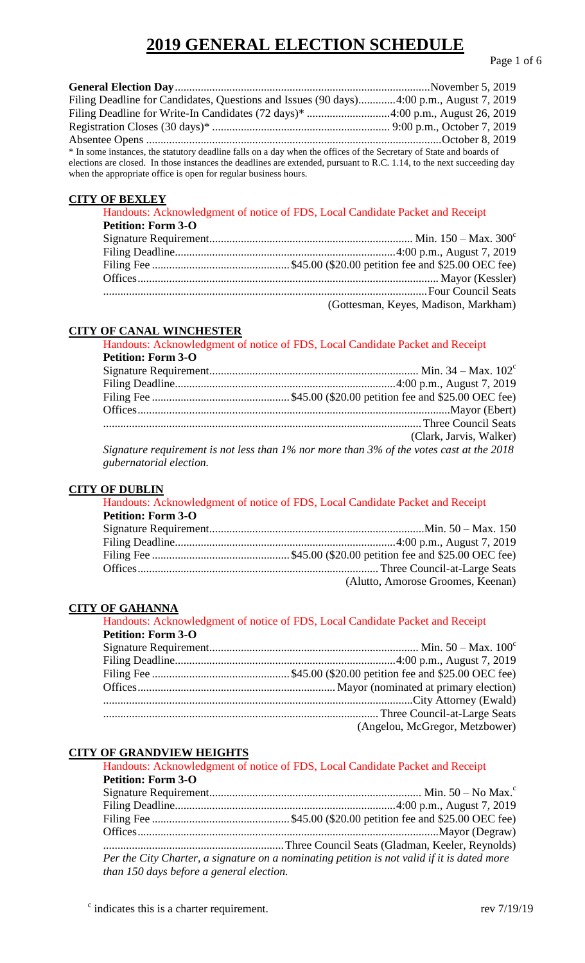| Filing Deadline for Candidates, Questions and Issues (90 days)4:00 p.m., August 7, 2019                                |  |
|------------------------------------------------------------------------------------------------------------------------|--|
|                                                                                                                        |  |
|                                                                                                                        |  |
|                                                                                                                        |  |
| * In some instances, the statutory deadline falls on a day when the offices of the Secretary of State and boards of    |  |
| elections are closed. In those instances the deadlines are extended, pursuant to R.C. 1.14, to the next succeeding day |  |
| when the appropriate office is open for regular business hours.                                                        |  |

### **CITY OF BEXLEY**

|                           | Handouts: Acknowledgment of notice of FDS, Local Candidate Packet and Receipt |
|---------------------------|-------------------------------------------------------------------------------|
| <b>Petition: Form 3-O</b> |                                                                               |
|                           |                                                                               |
|                           |                                                                               |
|                           |                                                                               |
|                           |                                                                               |
|                           |                                                                               |
|                           | (Gottesman, Keyes, Madison, Markham)                                          |

# **CITY OF CANAL WINCHESTER**

|                           | Handouts: Acknowledgment of notice of FDS, Local Candidate Packet and Receipt                                                                                           |
|---------------------------|-------------------------------------------------------------------------------------------------------------------------------------------------------------------------|
| <b>Petition: Form 3-O</b> |                                                                                                                                                                         |
|                           |                                                                                                                                                                         |
|                           |                                                                                                                                                                         |
|                           |                                                                                                                                                                         |
|                           |                                                                                                                                                                         |
|                           |                                                                                                                                                                         |
|                           | (Clark, Jarvis, Walker)                                                                                                                                                 |
|                           | $\mathbb{C}^1$ and so a second in the state of $1/\sqrt{1-\frac{10}{2}}$ and $\mathbb{C}^1$ and $\mathbb{C}^1$ and $\mathbb{C}^1$ and $\mathbb{C}^1$ and $\mathbb{C}^1$ |

*Signature requirement is not less than 1% nor more than 3% of the votes cast at the 2018 gubernatorial election.*

## **CITY OF DUBLIN**

Handouts: Acknowledgment of notice of FDS, Local Candidate Packet and Receipt **Petition: Form 3-O** Signature Requirement...........................................................................Min. 50 – Max. 150 Filing Deadline.............................................................................4:00 p.m., August 7, 2019 Filing Fee ................................................ \$45.00 (\$20.00 petition fee and \$25.00 OEC fee) Offices.................................................................................... Three Council-at-Large Seats (Alutto, Amorose Groomes, Keenan)

## **CITY OF GAHANNA**

|                           | Handouts: Acknowledgment of notice of FDS, Local Candidate Packet and Receipt |
|---------------------------|-------------------------------------------------------------------------------|
| <b>Petition: Form 3-O</b> |                                                                               |
|                           |                                                                               |
|                           |                                                                               |
|                           |                                                                               |
|                           |                                                                               |
|                           |                                                                               |
|                           |                                                                               |
|                           | (Angelou, McGregor, Metzbower)                                                |

# **CITY OF GRANDVIEW HEIGHTS**

|                                          | Handouts: Acknowledgment of notice of FDS, Local Candidate Packet and Receipt               |
|------------------------------------------|---------------------------------------------------------------------------------------------|
| <b>Petition: Form 3-O</b>                |                                                                                             |
|                                          |                                                                                             |
|                                          |                                                                                             |
|                                          |                                                                                             |
|                                          |                                                                                             |
|                                          |                                                                                             |
|                                          | Per the City Charter, a signature on a nominating petition is not valid if it is dated more |
| than 150 days before a general election. |                                                                                             |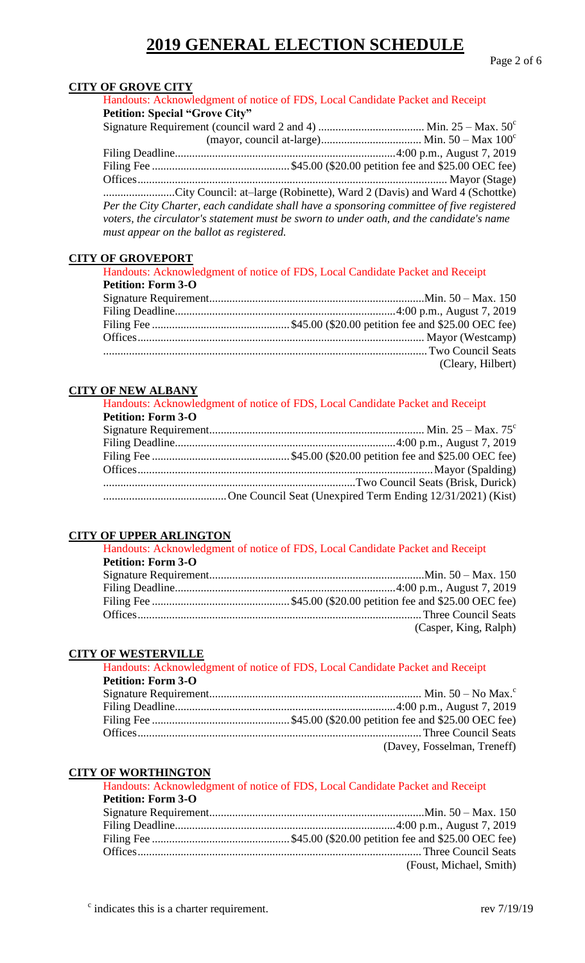Page 2 of 6

# **CITY OF GROVE CITY**

Handouts: Acknowledgment of notice of FDS, Local Candidate Packet and Receipt **Petition: Special "Grove City"**

|                                          | City Council: at-large (Robinette), Ward 2 (Davis) and Ward 4 (Schottke)                  |
|------------------------------------------|-------------------------------------------------------------------------------------------|
|                                          | Per the City Charter, each candidate shall have a sponsoring committee of five registered |
|                                          | voters, the circulator's statement must be sworn to under oath, and the candidate's name  |
| must appear on the ballot as registered. |                                                                                           |

#### **CITY OF GROVEPORT**

|                           | Handouts: Acknowledgment of notice of FDS, Local Candidate Packet and Receipt |
|---------------------------|-------------------------------------------------------------------------------|
| <b>Petition: Form 3-O</b> |                                                                               |
|                           |                                                                               |
|                           |                                                                               |
|                           |                                                                               |
|                           |                                                                               |
|                           |                                                                               |
|                           | (Cleary, Hilbert)                                                             |

# **CITY OF NEW ALBANY**

|                           | Handouts: Acknowledgment of notice of FDS, Local Candidate Packet and Receipt |
|---------------------------|-------------------------------------------------------------------------------|
| <b>Petition: Form 3-O</b> |                                                                               |
|                           |                                                                               |
|                           |                                                                               |
|                           |                                                                               |
|                           |                                                                               |
|                           |                                                                               |
|                           |                                                                               |

#### **CITY OF UPPER ARLINGTON**

|                           | Handouts: Acknowledgment of notice of FDS, Local Candidate Packet and Receipt |
|---------------------------|-------------------------------------------------------------------------------|
| <b>Petition: Form 3-O</b> |                                                                               |
|                           |                                                                               |
|                           |                                                                               |
|                           |                                                                               |
|                           |                                                                               |
|                           | (Casper, King, Ralph)                                                         |

#### **CITY OF WESTERVILLE**

| Handouts: Acknowledgment of notice of FDS, Local Candidate Packet and Receipt |
|-------------------------------------------------------------------------------|
|                                                                               |
|                                                                               |
|                                                                               |
|                                                                               |
|                                                                               |
| (Davey, Fosselman, Treneff)                                                   |
|                                                                               |

### **CITY OF WORTHINGTON**

|                           | Handouts: Acknowledgment of notice of FDS, Local Candidate Packet and Receipt |
|---------------------------|-------------------------------------------------------------------------------|
| <b>Petition: Form 3-O</b> |                                                                               |
|                           |                                                                               |
|                           |                                                                               |
|                           |                                                                               |
|                           |                                                                               |
|                           | (Foust, Michael, Smith)                                                       |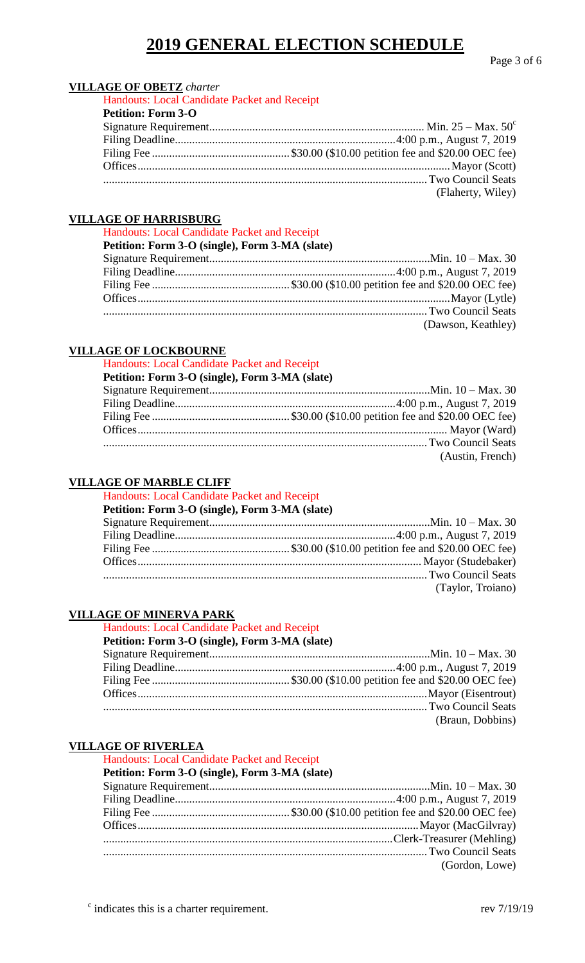Page 3 of 6

# **VILLAGE OF OBETZ** *charter*

| Handouts: Local Candidate Packet and Receipt |                   |
|----------------------------------------------|-------------------|
| <b>Petition: Form 3-O</b>                    |                   |
|                                              |                   |
|                                              |                   |
|                                              |                   |
|                                              |                   |
|                                              |                   |
|                                              | (Flaherty, Wiley) |

## **VILLAGE OF HARRISBURG**

Handouts: Local Candidate Packet and Receipt

| Petition: Form 3-O (single), Form 3-MA (slate) |                    |
|------------------------------------------------|--------------------|
|                                                |                    |
|                                                |                    |
|                                                |                    |
|                                                |                    |
|                                                |                    |
|                                                | (Dawson, Keathley) |

# **VILLAGE OF LOCKBOURNE**

Handouts: Local Candidate Packet and Receipt

| (Austin, French) |
|------------------|

### **VILLAGE OF MARBLE CLIFF**

| Handouts: Local Candidate Packet and Receipt   |                   |
|------------------------------------------------|-------------------|
| Petition: Form 3-O (single), Form 3-MA (slate) |                   |
|                                                |                   |
|                                                |                   |
|                                                |                   |
|                                                |                   |
|                                                |                   |
|                                                | (Taylor, Troiano) |

### **VILLAGE OF MINERVA PARK**

### Handouts: Local Candidate Packet and Receipt

# **Petition: Form 3-O (single), Form 3-MA (slate)**

| Two Council Seats |
|-------------------|
| (Braun, Dobbins)  |

#### **VILLAGE OF RIVERLEA**

Handouts: Local Candidate Packet and Receipt

# **Petition: Form 3-O (single), Form 3-MA (slate)**

| (Gordon, Lowe) |
|----------------|
|                |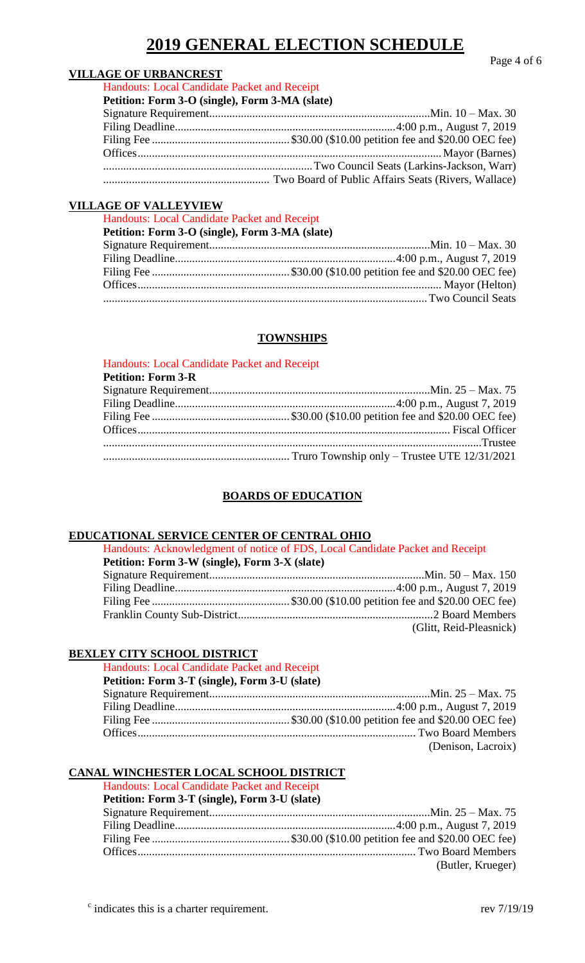Page 4 of 6

## **VILLAGE OF URBANCREST**

Handouts: Local Candidate Packet and Receipt **Petition: Form 3-O (single), Form 3-MA (slate)**

| Petition: Form 3-O (single), Form 3-MA (siate) |  |
|------------------------------------------------|--|
|                                                |  |
|                                                |  |
|                                                |  |
|                                                |  |
|                                                |  |
|                                                |  |

# **VILLAGE OF VALLEYVIEW**

| Handouts: Local Candidate Packet and Receipt   |  |
|------------------------------------------------|--|
| Petition: Form 3-O (single), Form 3-MA (slate) |  |
|                                                |  |
|                                                |  |
|                                                |  |
|                                                |  |
|                                                |  |
|                                                |  |

# **TOWNSHIPS**

| Handouts: Local Candidate Packet and Receipt |  |
|----------------------------------------------|--|
| <b>Petition: Form 3-R</b>                    |  |
|                                              |  |
|                                              |  |
|                                              |  |
|                                              |  |
|                                              |  |
|                                              |  |

# **BOARDS OF EDUCATION**

### **EDUCATIONAL SERVICE CENTER OF CENTRAL OHIO**

Handouts: Acknowledgment of notice of FDS, Local Candidate Packet and Receipt **Petition: Form 3-W (single), Form 3-X (slate)** Signature Requirement...........................................................................Min. 50 – Max. 150 Filing Deadline.............................................................................4:00 p.m., August 7, 2019 Filing Fee ................................................ \$30.00 (\$10.00 petition fee and \$20.00 OEC fee) Franklin County Sub-District....................................................................2 Board Members (Glitt, Reid-Pleasnick)

# **BEXLEY CITY SCHOOL DISTRICT**

Handouts: Local Candidate Packet and Receipt **Petition: Form 3-T (single), Form 3-U (slate)** Signature Requirement.............................................................................Min. 25 – Max. 75 Filing Deadline.............................................................................4:00 p.m., August 7, 2019 Filing Fee ................................................ \$30.00 (\$10.00 petition fee and \$20.00 OEC fee) Offices................................................................................................. Two Board Members (Denison, Lacroix)

# **CANAL WINCHESTER LOCAL SCHOOL DISTRICT**

Handouts: Local Candidate Packet and Receipt

| Petition: Form 3-T (single), Form 3-U (slate) |                   |
|-----------------------------------------------|-------------------|
|                                               |                   |
|                                               |                   |
|                                               |                   |
|                                               |                   |
|                                               | (Butler, Krueger) |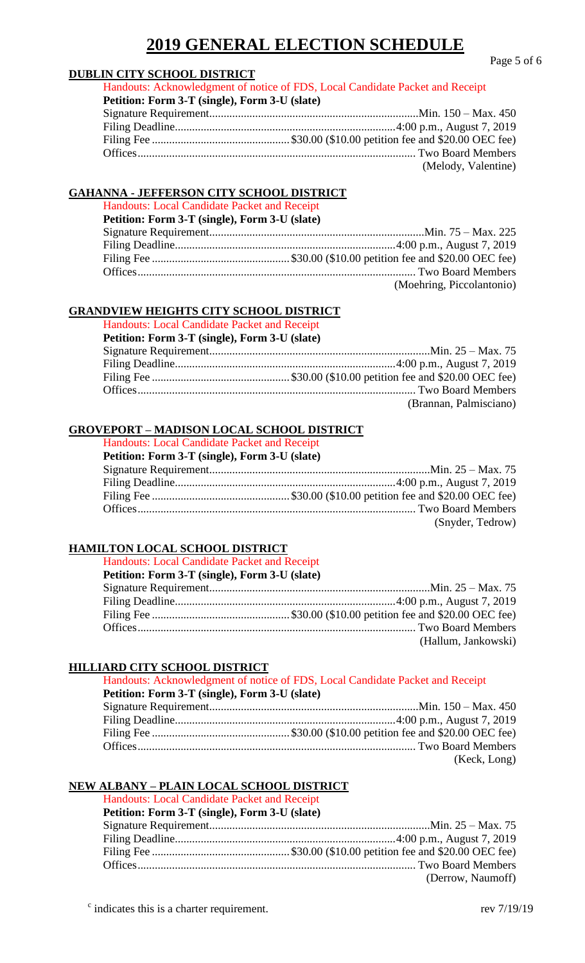Page 5 of 6

| Handouts: Acknowledgment of notice of FDS, Local Candidate Packet and Receipt |
|-------------------------------------------------------------------------------|
| Petition: Form 3-T (single), Form 3-U (slate)                                 |
|                                                                               |
|                                                                               |
|                                                                               |
|                                                                               |
| (Melody, Valentine)                                                           |
|                                                                               |

### **GAHANNA - JEFFERSON CITY SCHOOL DISTRICT**

Handouts: Local Candidate Packet and Receipt **Petition: Form 3-T (single), Form 3-U (slate)** Signature Requirement...........................................................................Min. 75 – Max. 225 Filing Deadline.............................................................................4:00 p.m., August 7, 2019 Filing Fee ................................................ \$30.00 (\$10.00 petition fee and \$20.00 OEC fee) Offices................................................................................................. Two Board Members

(Moehring, Piccolantonio)

## **GRANDVIEW HEIGHTS CITY SCHOOL DISTRICT**

Handouts: Local Candidate Packet and Receipt

| Petition: Form 3-T (single), Form 3-U (slate) |                        |
|-----------------------------------------------|------------------------|
|                                               |                        |
|                                               |                        |
|                                               |                        |
|                                               |                        |
|                                               | (Brannan, Palmisciano) |

## **GROVEPORT – MADISON LOCAL SCHOOL DISTRICT**

Handouts: Local Candidate Packet and Receipt

| Petition: Form 3-T (single), Form 3-U (slate) |                  |
|-----------------------------------------------|------------------|
|                                               |                  |
|                                               |                  |
|                                               |                  |
|                                               |                  |
|                                               | (Snyder, Tedrow) |

# **HAMILTON LOCAL SCHOOL DISTRICT**

Handouts: Local Candidate Packet and Receipt

| Petition: Form 3-T (single), Form 3-U (slate) |                     |
|-----------------------------------------------|---------------------|
|                                               |                     |
|                                               |                     |
|                                               |                     |
|                                               |                     |
|                                               | (Hallum, Jankowski) |

### **HILLIARD CITY SCHOOL DISTRICT**

|                                               | Handouts: Acknowledgment of notice of FDS, Local Candidate Packet and Receipt |
|-----------------------------------------------|-------------------------------------------------------------------------------|
| Petition: Form 3-T (single), Form 3-U (slate) |                                                                               |
|                                               |                                                                               |
|                                               |                                                                               |
|                                               |                                                                               |
|                                               |                                                                               |
|                                               | (Keck, Long)                                                                  |

# **NEW ALBANY – PLAIN LOCAL SCHOOL DISTRICT**

Handouts: Local Candidate Packet and Receipt

| Petition: Form 3-T (single), Form 3-U (slate) |                   |
|-----------------------------------------------|-------------------|
|                                               |                   |
|                                               |                   |
|                                               |                   |
|                                               |                   |
|                                               | (Derrow, Naumoff) |

 $\epsilon$  indicates this is a charter requirement. rev  $7/19/19$